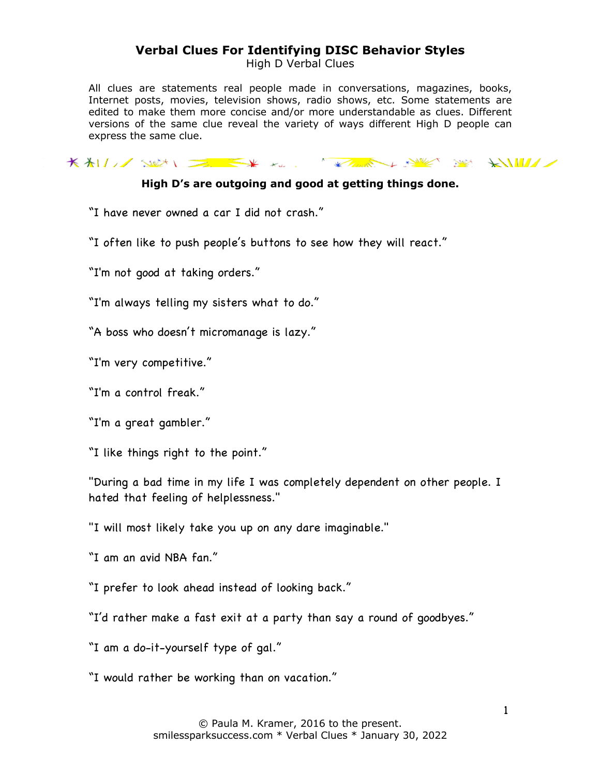High D Verbal Clues

All clues are statements real people made in conversations, magazines, books, Internet posts, movies, television shows, radio shows, etc. Some statements are edited to make them more concise and/or more understandable as clues. Different versions of the same clue reveal the variety of ways different High D people can express the same clue.

KALL SUN DE KK KK KALL KAREL SUNK SUNK KILLE

#### **High D's are outgoing and good at getting things done.**

"I have never owned a car I did not crash."

"I often like to push people's buttons to see how they will react."

"I'm not good at taking orders."

"I'm always telling my sisters what to do."

"A boss who doesn't micromanage is lazy."

"I'm very competitive."

"I'm a control freak."

"I'm a great gambler."

"I like things right to the point."

"During a bad time in my life I was completely dependent on other people. I hated that feeling of helplessness."

"I will most likely take you up on any dare imaginable."

"I am an avid NBA fan."

"I prefer to look ahead instead of looking back."

"I'd rather make a fast exit at a party than say a round of goodbyes."

"I am a do-it-yourself type of gal."

"I would rather be working than on vacation."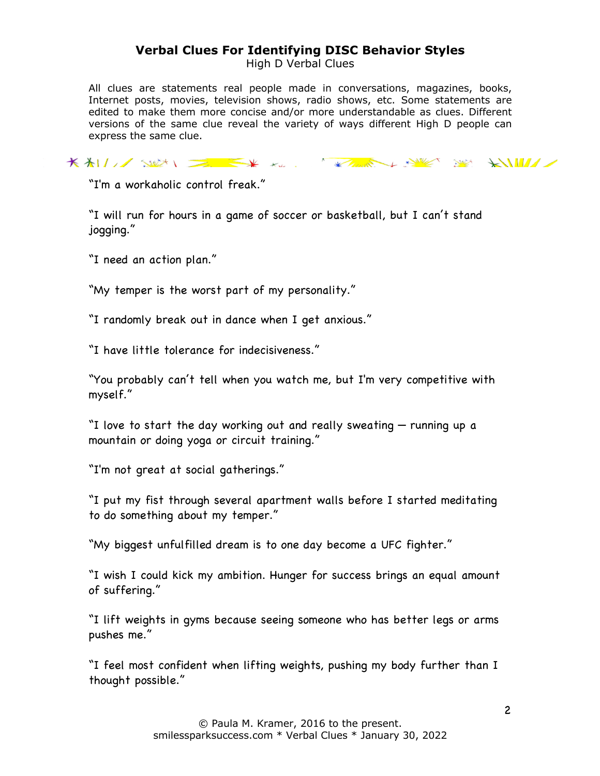High D Verbal Clues

All clues are statements real people made in conversations, magazines, books, Internet posts, movies, television shows, radio shows, etc. Some statements are edited to make them more concise and/or more understandable as clues. Different versions of the same clue reveal the variety of ways different High D people can express the same clue.

KALL SEN EXTREMELY SERVER SERVER

"I'm a workaholic control freak."

"I will run for hours in a game of soccer or basketball, but I can't stand jogging."

"I need an action plan."

"My temper is the worst part of my personality."

"I randomly break out in dance when I get anxious."

"I have little tolerance for indecisiveness."

"You probably can't tell when you watch me, but I'm very competitive with myself."

"I love to start the day working out and really sweating — running up a mountain or doing yoga or circuit training."

"I'm not great at social gatherings."

"I put my fist through several apartment walls before I started meditating to do something about my temper."

"My biggest unfulfilled dream is to one day become a UFC fighter."

"I wish I could kick my ambition. Hunger for success brings an equal amount of suffering."

"I lift weights in gyms because seeing someone who has better legs or arms pushes me."

"I feel most confident when lifting weights, pushing my body further than I thought possible."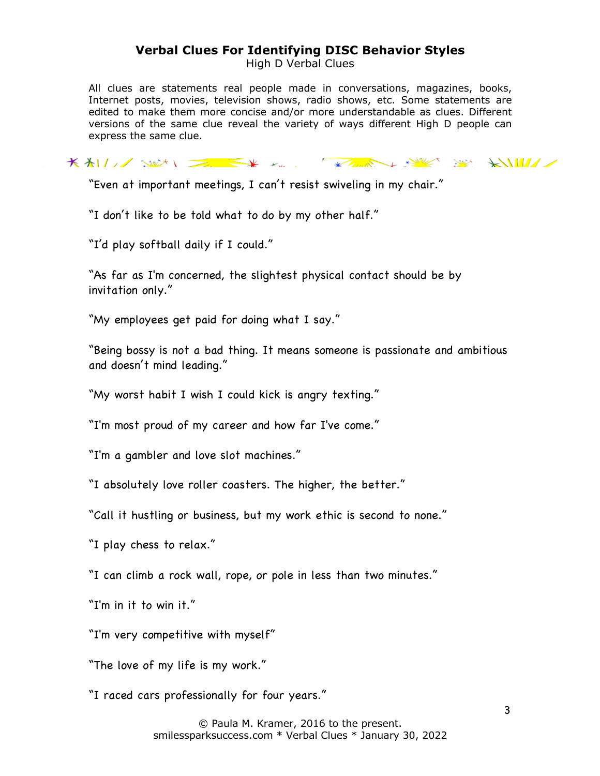High D Verbal Clues

All clues are statements real people made in conversations, magazines, books, Internet posts, movies, television shows, radio shows, etc. Some statements are edited to make them more concise and/or more understandable as clues. Different versions of the same clue reveal the variety of ways different High D people can express the same clue.

KALL SEN EXTREMELY SERVER SERVER

"Even at important meetings, I can't resist swiveling in my chair."

"I don't like to be told what to do by my other half."

"I'd play softball daily if I could."

"As far as I'm concerned, the slightest physical contact should be by invitation only."

"My employees get paid for doing what I say."

"Being bossy is not a bad thing. It means someone is passionate and ambitious and doesn't mind leading."

"My worst habit I wish I could kick is angry texting."

"I'm most proud of my career and how far I've come."

"I'm a gambler and love slot machines."

"I absolutely love roller coasters. The higher, the better."

"Call it hustling or business, but my work ethic is second to none."

"I play chess to relax."

"I can climb a rock wall, rope, or pole in less than two minutes."

"I'm in it to win it."

"I'm very competitive with myself"

"The love of my life is my work."

"I raced cars professionally for four years."

© Paula M. Kramer, 2016 to the present. smilessparksuccess.com \* Verbal Clues \* January 30, 2022